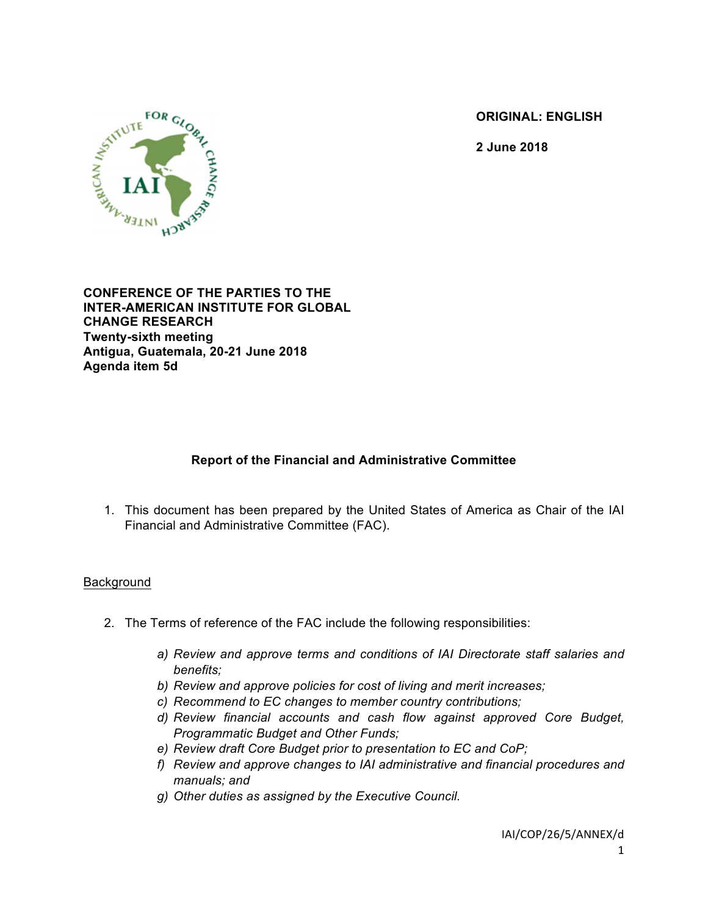**ORIGINAL: ENGLISH**

**2 June 2018**



**CONFERENCE OF THE PARTIES TO THE INTER-AMERICAN INSTITUTE FOR GLOBAL CHANGE RESEARCH Twenty-sixth meeting Antigua, Guatemala, 20-21 June 2018 Agenda item 5d**

# **Report of the Financial and Administrative Committee**

1. This document has been prepared by the United States of America as Chair of the IAI Financial and Administrative Committee (FAC).

#### Background

- 2. The Terms of reference of the FAC include the following responsibilities:
	- *a) Review and approve terms and conditions of IAI Directorate staff salaries and benefits;*
	- *b) Review and approve policies for cost of living and merit increases;*
	- *c) Recommend to EC changes to member country contributions;*
	- *d) Review financial accounts and cash flow against approved Core Budget, Programmatic Budget and Other Funds;*
	- *e) Review draft Core Budget prior to presentation to EC and CoP;*
	- *f) Review and approve changes to IAI administrative and financial procedures and manuals; and*
	- *g) Other duties as assigned by the Executive Council.*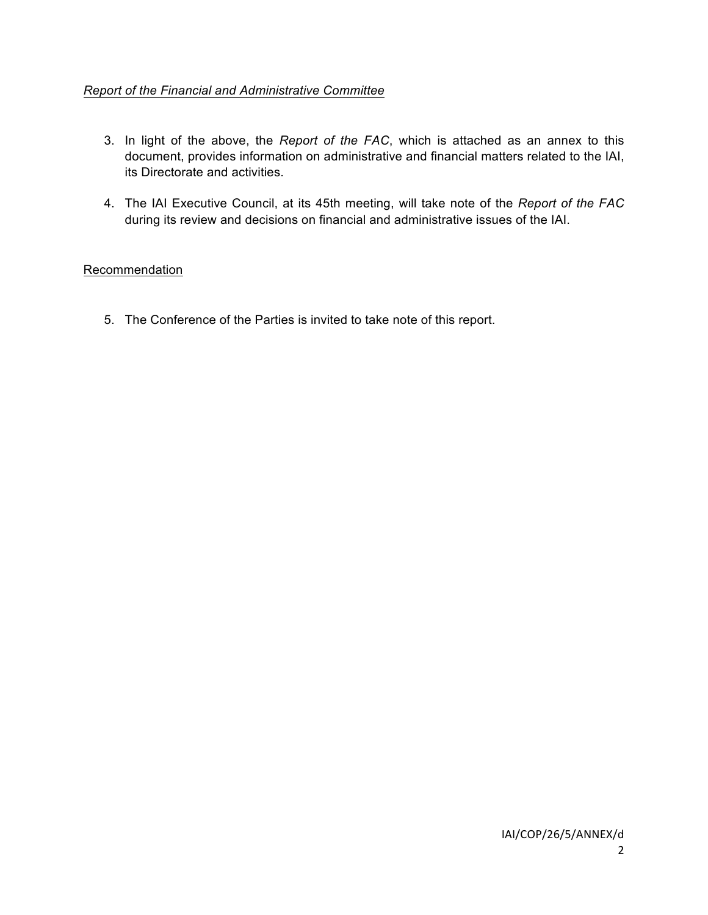### *Report of the Financial and Administrative Committee*

- 3. In light of the above, the *Report of the FAC*, which is attached as an annex to this document, provides information on administrative and financial matters related to the IAI, its Directorate and activities.
- 4. The IAI Executive Council, at its 45th meeting, will take note of the *Report of the FAC* during its review and decisions on financial and administrative issues of the IAI.

### Recommendation

5. The Conference of the Parties is invited to take note of this report.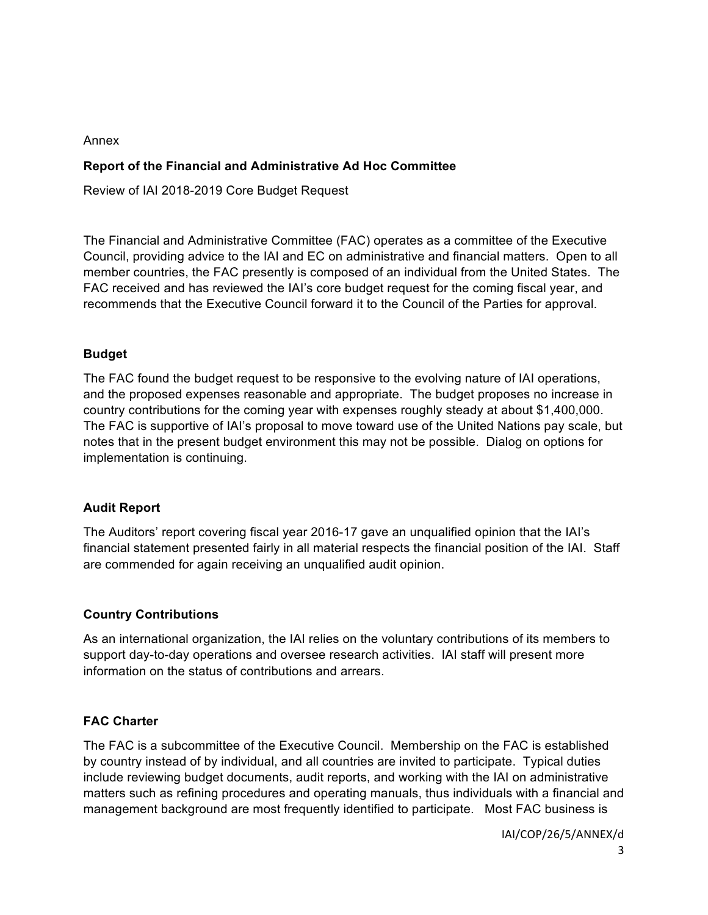#### Annex

### **Report of the Financial and Administrative Ad Hoc Committee**

Review of IAI 2018-2019 Core Budget Request

The Financial and Administrative Committee (FAC) operates as a committee of the Executive Council, providing advice to the IAI and EC on administrative and financial matters. Open to all member countries, the FAC presently is composed of an individual from the United States. The FAC received and has reviewed the IAI's core budget request for the coming fiscal year, and recommends that the Executive Council forward it to the Council of the Parties for approval.

#### **Budget**

The FAC found the budget request to be responsive to the evolving nature of IAI operations, and the proposed expenses reasonable and appropriate. The budget proposes no increase in country contributions for the coming year with expenses roughly steady at about \$1,400,000. The FAC is supportive of IAI's proposal to move toward use of the United Nations pay scale, but notes that in the present budget environment this may not be possible. Dialog on options for implementation is continuing.

## **Audit Report**

The Auditors' report covering fiscal year 2016-17 gave an unqualified opinion that the IAI's financial statement presented fairly in all material respects the financial position of the IAI. Staff are commended for again receiving an unqualified audit opinion.

## **Country Contributions**

As an international organization, the IAI relies on the voluntary contributions of its members to support day-to-day operations and oversee research activities. IAI staff will present more information on the status of contributions and arrears.

## **FAC Charter**

The FAC is a subcommittee of the Executive Council. Membership on the FAC is established by country instead of by individual, and all countries are invited to participate. Typical duties include reviewing budget documents, audit reports, and working with the IAI on administrative matters such as refining procedures and operating manuals, thus individuals with a financial and management background are most frequently identified to participate. Most FAC business is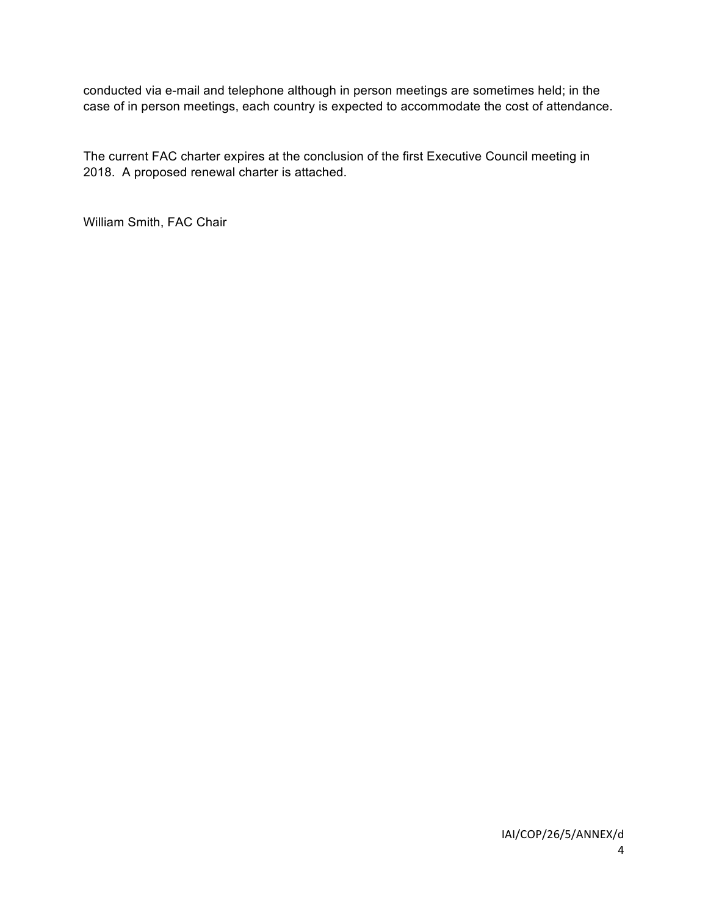conducted via e-mail and telephone although in person meetings are sometimes held; in the case of in person meetings, each country is expected to accommodate the cost of attendance.

The current FAC charter expires at the conclusion of the first Executive Council meeting in 2018. A proposed renewal charter is attached.

William Smith, FAC Chair